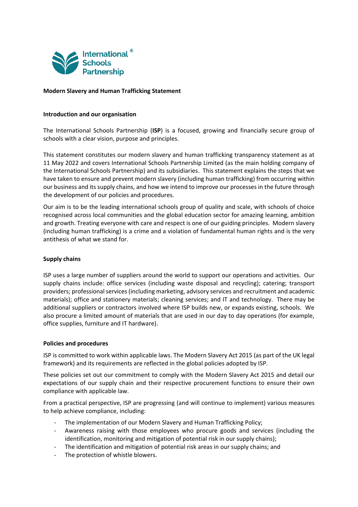

# **Modern Slavery and Human Trafficking Statement**

## **Introduction and our organisation**

The International Schools Partnership (**ISP**) is a focused, growing and financially secure group of schools with a clear vision, purpose and principles.

This statement constitutes our modern slavery and human trafficking transparency statement as at 11 May 2022 and covers International Schools Partnership Limited (as the main holding company of the International Schools Partnership) and its subsidiaries. This statement explains the steps that we have taken to ensure and prevent modern slavery (including human trafficking) from occurring within our business and its supply chains, and how we intend to improve our processes in the future through the development of our policies and procedures.

Our aim is to be the leading international schools group of quality and scale, with schools of choice recognised across local communities and the global education sector for amazing learning, ambition and growth. Treating everyone with care and respect is one of our guiding principles. Modern slavery (including human trafficking) is a crime and a violation of fundamental human rights and is the very antithesis of what we stand for.

# **Supply chains**

ISP uses a large number of suppliers around the world to support our operations and activities. Our supply chains include: office services (including waste disposal and recycling); catering; transport providers; professional services (including marketing, advisory services and recruitment and academic materials); office and stationery materials; cleaning services; and IT and technology. There may be additional suppliers or contractors involved where ISP builds new, or expands existing, schools. We also procure a limited amount of materials that are used in our day to day operations (for example, office supplies, furniture and IT hardware).

# **Policies and procedures**

ISP is committed to work within applicable laws. The Modern Slavery Act 2015 (as part of the UK legal framework) and its requirements are reflected in the global policies adopted by ISP.

These policies set out our commitment to comply with the Modern Slavery Act 2015 and detail our expectations of our supply chain and their respective procurement functions to ensure their own compliance with applicable law.

From a practical perspective, ISP are progressing (and will continue to implement) various measures to help achieve compliance, including:

- The implementation of our Modern Slavery and Human Trafficking Policy;
- Awareness raising with those employees who procure goods and services (including the identification, monitoring and mitigation of potential risk in our supply chains);
- The identification and mitigation of potential risk areas in our supply chains; and
- The protection of whistle blowers.